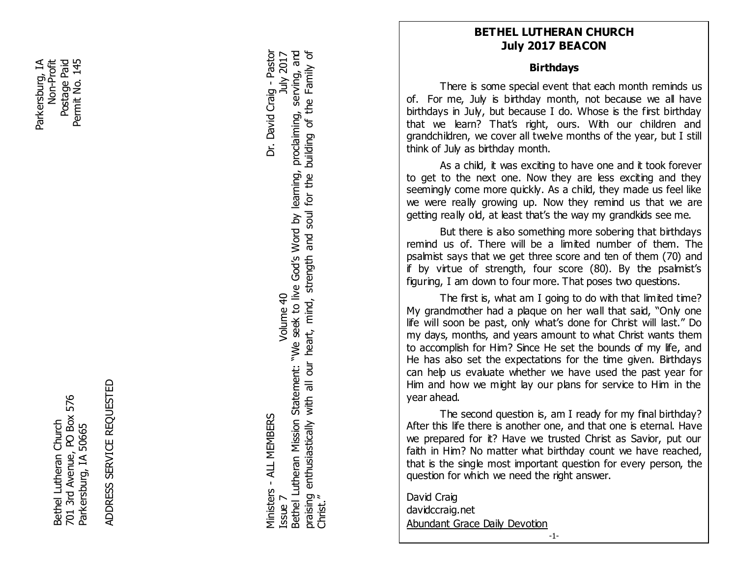Parkersburg, IA Postage Paid 145 Non-Profit<br>Postage Paid Parkersburg, IA Permit No. 145 Permit No.

> 701 3rd Avenue, PO Box 576<br>Parkersburg, IA 50665 701 3rd Avenue, PO Box 576 Bethel Lutheran Church Bethel Lutheran Church Parkersburg, IA 50665

ADDRESS SERVICE REQUESTED ADDRESS SERVICE REQUESTED

Bethel Lutheran Mission Statement: "We seek to live God's Word by learning, proclaiming, serving, and praising enthusiastically with all our heart, mind, strength and soul for the building of the Family of Ministers - ALL MEMBERS Dr. David Craig - Pastor Issue 7  $\blacksquare$   $\blacksquare$   $\blacksquare$   $\blacksquare$   $\blacksquare$   $\blacksquare$   $\blacksquare$   $\blacksquare$   $\blacksquare$   $\blacksquare$   $\blacksquare$   $\blacksquare$   $\blacksquare$   $\blacksquare$   $\blacksquare$   $\blacksquare$   $\blacksquare$   $\blacksquare$   $\blacksquare$   $\blacksquare$   $\blacksquare$   $\blacksquare$   $\blacksquare$   $\blacksquare$   $\blacksquare$   $\blacksquare$   $\blacksquare$   $\blacksquare$   $\blacksquare$   $\blacksquare$   $\bl$ Bethel Lutheran Mission Statement: "We seek to live God's Word by learning, praising enthusiastically with all our heart, mind, strength and soul for the Christ." Volume 40 Ministers - ALL MEMBERS ssue 7

building of the Family of proclaiming, serving, and

Dr. David Craig - Pastor

July 2017

**BETHEL LUTHERAN CHURCH July 2017 BEACON**

# **Birthdays**

There is some special event that each month reminds us of. For me, July is birthday month, not because we all have birthdays in July, but because I do. Whose is the first birthday that we learn? That's right, ours. With our children and grandchildren, we cover all twelve months of the year, but I still think of July as birthday month.

**FEBRUARY**<br> **FEBRUARY**<br> **FEBRUARY**<br> **FEBRUARY**<br> **FEBRUARY**<br> **FEBRUARY**<br> **FEBRUARY**<br> **FEBRUARY**<br> **FEBRUARY**<br> **FEBRUARY**<br> **FEBRUARY** As a child, it was exciting to have one and it took forever to get to the next one. Now they are less exciting and they seemingly come more quickly. As a child, they made us feel like we were really growing up. Now they remind us that we are getting really old, at least that's the way my grandkids see me.

But there is also something more sobering that birthdays remind us of. There will be a limited number of them. The psalmist says that we get three score and ten of them (70) and if by virtue of strength, four score (80). By the psalmist's figuring, I am down to four more. That poses two questions.

The first is, what am I going to do with that limited time? My grandmother had a plaque on her wall that said, "Only one life will soon be past, only what's done for Christ will last." Do my days, months, and years amount to what Christ wants them to accomplish for Him? Since He set the bounds of my life, and He has also set the expectations for the time given. Birthdays can help us evaluate whether we have used the past year for Him and how we might lay our plans for service to Him in the year ahead.

 that is the single most important question for every person, the The second question is, am I ready for my final birthday? After this life there is another one, and that one is eternal. Have we prepared for it? Have we trusted Christ as Savior, put our faith in Him? No matter what birthday count we have reached, question for which we need the right answer.

David Craig davidccraig.net Abundant Grace Daily Devotion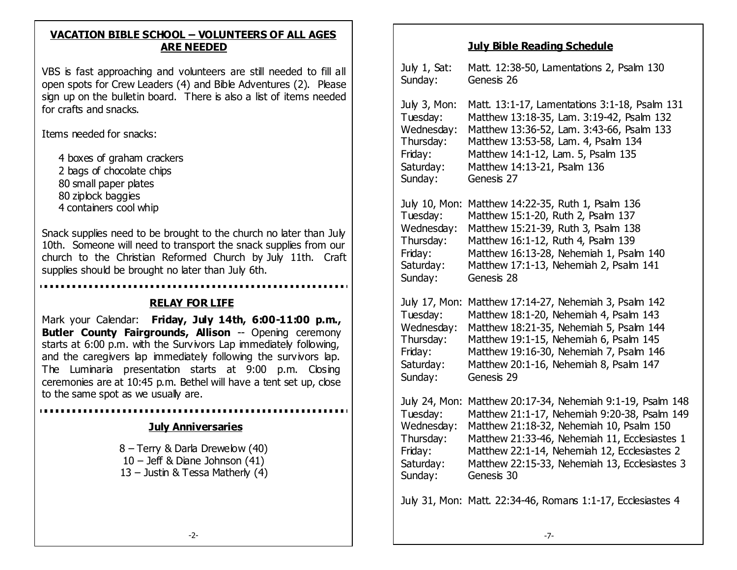#### **VACATION BIBLE SCHOOL – VOLUNTEERS OF ALL AGES ARE NEEDED**

 open spots for Crew Leaders (4) and Bible Adventures (2). Please VBS is fast approaching and volunteers are still needed to fill all sign up on the bulletin board. There is also a list of items needed for crafts and snacks.

Items needed for snacks:

 4 boxes of graham crackers 2 bags of chocolate chips 80 small paper plates 80 ziplock baggies 4 containers cool whip

Snack supplies need to be brought to the church no later than July 10th. Someone will need to transport the snack supplies from our church to the Christian Reformed Church by July 11th. Craft supplies should be brought no later than July 6th.

#### **RELAY FOR LIFE**

Mark your Calendar: **Friday, July 14th, 6:00-11:00 p.m., Butler County Fairgrounds, Allison -- Opening ceremony** starts at 6:00 p.m. with the Survivors Lap immediately following, and the caregivers lap immediately following the survivors lap. The Luminaria presentation starts at 9:00 p.m. Closing ceremonies are at 10:45 p.m. Bethel will have a tent set up, close to the same spot as we usually are.

#### **July Anniversaries**

8 – Terry & Darla Drewelow (40) 10 – Jeff & Diane Johnson (41) 13 – Justin & Tessa Matherly (4)

# **July Bible Reading Schedule**

| July 1, Sat:<br>Sunday:                                                                 | Matt. 12:38-50, Lamentations 2, Psalm 130<br>Genesis 26                                                                                                                                                                                                                                                  |
|-----------------------------------------------------------------------------------------|----------------------------------------------------------------------------------------------------------------------------------------------------------------------------------------------------------------------------------------------------------------------------------------------------------|
| July 3, Mon:<br>Tuesday:<br>Wednesday:<br>Thursday:<br>Friday:<br>Saturday:<br>Sunday:  | Matt. 13:1-17, Lamentations 3:1-18, Psalm 131<br>Matthew 13:18-35, Lam. 3:19-42, Psalm 132<br>Matthew 13:36-52, Lam. 3:43-66, Psalm 133<br>Matthew 13:53-58, Lam. 4, Psalm 134<br>Matthew 14:1-12, Lam. 5, Psalm 135<br>Matthew 14:13-21, Psalm 136<br>Genesis 27                                        |
| July 10, Mon:<br>Tuesday:<br>Wednesday:<br>Thursday:<br>Friday:<br>Saturday:<br>Sunday: | Matthew 14:22-35, Ruth 1, Psalm 136<br>Matthew 15:1-20, Ruth 2, Psalm 137<br>Matthew 15:21-39, Ruth 3, Psalm 138<br>Matthew 16:1-12, Ruth 4, Psalm 139<br>Matthew 16:13-28, Nehemiah 1, Psalm 140<br>Matthew 17:1-13, Nehemiah 2, Psalm 141<br>Genesis 28                                                |
| July 17, Mon:<br>Tuesday:<br>Wednesday:<br>Thursday:<br>Friday:<br>Saturday:<br>Sunday: | Matthew 17:14-27, Nehemiah 3, Psalm 142<br>Matthew 18:1-20, Nehemiah 4, Psalm 143<br>Matthew 18:21-35, Nehemiah 5, Psalm 144<br>Matthew 19:1-15, Nehemiah 6, Psalm 145<br>Matthew 19:16-30, Nehemiah 7, Psalm 146<br>Matthew 20:1-16, Nehemiah 8, Psalm 147<br>Genesis 29                                |
| July 24, Mon:<br>Tuesday:<br>Wednesday:<br>Thursday:<br>Friday:<br>Saturday:<br>Sunday: | Matthew 20:17-34, Nehemiah 9:1-19, Psalm 148<br>Matthew 21:1-17, Nehemiah 9:20-38, Psalm 149<br>Matthew 21:18-32, Nehemiah 10, Psalm 150<br>Matthew 21:33-46, Nehemiah 11, Ecclesiastes 1<br>Matthew 22:1-14, Nehemiah 12, Ecclesiastes 2<br>Matthew 22:15-33, Nehemiah 13, Ecclesiastes 3<br>Genesis 30 |
|                                                                                         | July 31, Mon: Matt. 22:34-46, Romans 1:1-17, Ecclesiastes 4                                                                                                                                                                                                                                              |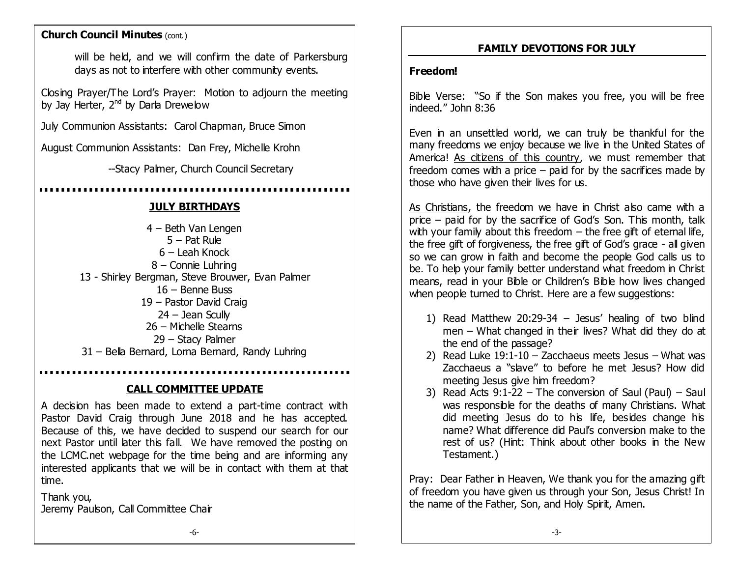#### **Church Council Minutes (cont.)**

will be held, and we will confirm the date of Parkersburg days as not to interfere with other community events.

Closing Prayer/The Lord's Prayer: Motion to adjourn the meeting by Jay Herter,  $2^{nd}$  by Darla Drewelow

July Communion Assistants: Carol Chapman, Bruce Simon

August Communion Assistants: Dan Frey, Michelle Krohn

--Stacy Palmer, Church Council Secretary

## **JULY BIRTHDAYS**

– Beth Van Lengen – Pat Rule – Leah Knock – Connie Luhring 13 - Shirley Bergman, Steve Brouwer, Evan Palmer – Benne Buss – Pastor David Craig – Jean Scully – Michelle Stearns – Stacy Palmer – Bella Bernard, Lorna Bernard, Randy Luhring

#### **CALL COMMITTEE UPDATE**

A decision has been made to extend a part-time contract with Pastor David Craig through June 2018 and he has accepted. Because of this, we have decided to suspend our search for our next Pastor until later this fall. We have removed the posting on the LCMC.net webpage for the time being and are informing any interested applicants that we will be in contact with them at that time.

Thank you, Jeremy Paulson, Call Committee Chair

## **FAMILY DEVOTIONS FOR JULY**

#### **Freedom!**

Bible Verse: "So if the Son makes you free, you will be free indeed." John 8:36

Even in an unsettled world, we can truly be thankful for the many freedoms we enjoy because we live in the United States of America! As citizens of this country, we must remember that freedom comes with a price  $-$  paid for by the sacrifices made by those who have given their lives for us.

As Christians, the freedom we have in Christ also came with a price – paid for by the sacrifice of God's Son. This month, talk with your family about this freedom  $-$  the free gift of eternal life, the free gift of forgiveness, the free gift of God's grace - all given so we can grow in faith and become the people God calls us to be. To help your family better understand what freedom in Christ means, read in your Bible or Children's Bible how lives changed when people turned to Christ. Here are a few suggestions:

- 1) Read Matthew 20:29-34 Jesus' healing of two blind men – What changed in their lives? What did they do at the end of the passage?
- 2) Read Luke  $19:1-10 -$  Zacchaeus meets Jesus What was Zacchaeus a "slave" to before he met Jesus? How did meeting Jesus give him freedom?
- 3) Read Acts 9:1-22 The conversion of Saul (Paul) Saul was responsible for the deaths of many Christians. What did meeting Jesus do to his life, besides change his name? What difference did Paul's conversion make to the rest of us? (Hint: Think about other books in the New Testament.)

Pray: Dear Father in Heaven, We thank you for the amazing gift of freedom you have given us through your Son, Jesus Christ! In the name of the Father, Son, and Holy Spirit, Amen.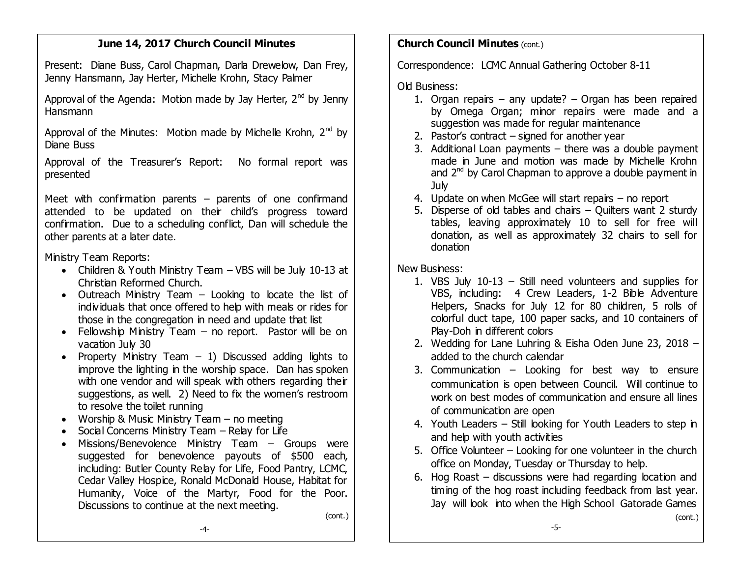## **June 14, 2017 Church Council Minutes**

Present: Diane Buss, Carol Chapman, Darla Drewelow, Dan Frey, Jenny Hansmann, Jay Herter, Michelle Krohn, Stacy Palmer

Approval of the Agenda: Motion made by Jay Herter,  $2^{nd}$  by Jenny Hansmann

Approval of the Minutes: Motion made by Michelle Krohn,  $2^{nd}$  by Diane Buss

Approval of the Treasurer's Report: No formal report was presented

Meet with confirmation parents  $-$  parents of one confirmand attended to be updated on their child's progress toward confirmation. Due to a scheduling conflict, Dan will schedule the other parents at a later date.

Ministry Team Reports:

- Children & Youth Ministry Team VBS will be July 10-13 at Christian Reformed Church.
- Outreach Ministry Team Looking to locate the list of individuals that once offered to help with meals or rides for those in the congregation in need and update that list
- Fellowship Ministry Team  $-$  no report. Pastor will be on vacation July 30
- Property Ministry Team  $-1$ ) Discussed adding lights to improve the lighting in the worship space. Dan has spoken with one vendor and will speak with others regarding their suggestions, as well. 2) Need to fix the women's restroom to resolve the toilet running
- Worship & Music Ministry Team no meeting
- Social Concerns Ministry Team Relay for Life
- Missions/Benevolence Ministry Team Groups were suggested for benevolence payouts of \$500 each, including: Butler County Relay for Life, Food Pantry, LCMC, Cedar Valley Hospice, Ronald McDonald House, Habitat for Humanity, Voice of the Martyr, Food for the Poor. Discussions to continue at the next meeting.

(cont.)

## **Church Council Minutes (cont.)**

Correspondence: LCMC Annual Gathering October 8-11

Old Business:

- 1. Organ repairs any update? Organ has been repaired by Omega Organ; minor repairs were made and a suggestion was made for regular maintenance
- 2. Pastor's contract signed for another year
- 3. Additional Loan payments there was a double payment made in June and motion was made by Michelle Krohn and 2<sup>nd</sup> by Carol Chapman to approve a double payment in July
- 4. Update on when McGee will start repairs no report
- 5. Disperse of old tables and chairs Quilters want 2 sturdy tables, leaving approximately 10 to sell for free will donation, as well as approximately 32 chairs to sell for donation

New Business:

- 1. VBS July 10-13 Still need volunteers and supplies for VBS, including: 4 Crew Leaders, 1-2 Bible Adventure Helpers, Snacks for July 12 for 80 children, 5 rolls of colorful duct tape, 100 paper sacks, and 10 containers of Play-Doh in different colors
- 2. Wedding for Lane Luhring & Eisha Oden June 23, 2018 added to the church calendar
- 3. Communication Looking for best way to ensure communication is open between Council. Will continue to work on best modes of communication and ensure all lines of communication are open
- 4. Youth Leaders Still looking for Youth Leaders to step in and help with youth activities
- 5. Office Volunteer Looking for one volunteer in the church office on Monday, Tuesday or Thursday to help.
- 6. Hog Roast discussions were had regarding location and timing of the hog roast including feedback from last year. Jay will look into when the High School Gatorade Games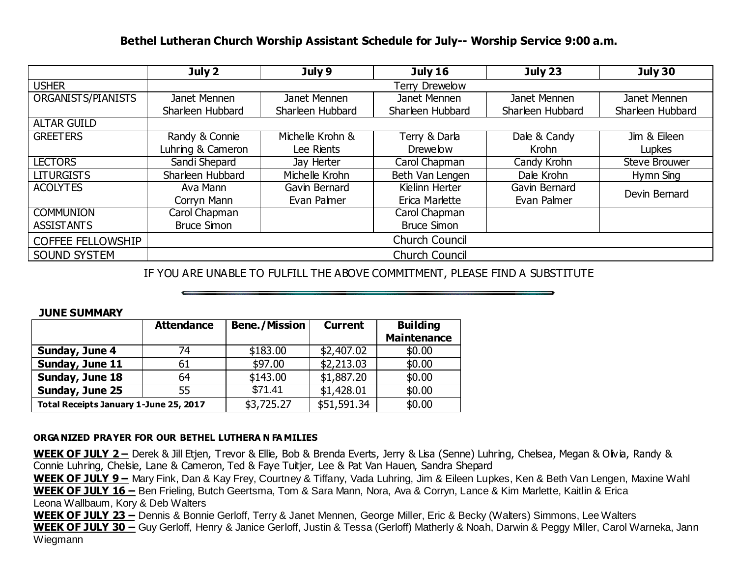### **Bethel Lutheran Church Worship Assistant Schedule for July-- Worship Service 9:00 a.m.**

|                          | July 2                | July 9           | <b>July 16</b>     | July 23          | July 30                          |  |  |
|--------------------------|-----------------------|------------------|--------------------|------------------|----------------------------------|--|--|
| <b>USHER</b>             | <b>Terry Drewelow</b> |                  |                    |                  |                                  |  |  |
| ORGANISTS/PIANISTS       | Janet Mennen          | Janet Mennen     | Janet Mennen       | Janet Mennen     | Janet Mennen                     |  |  |
|                          | Sharleen Hubbard      | Sharleen Hubbard | Sharleen Hubbard   | Sharleen Hubbard | Sharleen Hubbard                 |  |  |
| <b>ALTAR GUILD</b>       |                       |                  |                    |                  |                                  |  |  |
| <b>GREETERS</b>          | Randy & Connie        | Michelle Krohn & | Terry & Darla      | Dale & Candy     | $\overline{\text{Jim}}$ & Eileen |  |  |
|                          | Luhring & Cameron     | Lee Rients       | <b>Drewelow</b>    | Krohn            | Lupkes                           |  |  |
| <b>LECTORS</b>           | Sandi Shepard         | Jay Herter       | Carol Chapman      | Candy Krohn      | <b>Steve Brouwer</b>             |  |  |
| <b>LITURGISTS</b>        | Sharleen Hubbard      | Michelle Krohn   | Beth Van Lengen    | Dale Krohn       | Hymn Sing                        |  |  |
| <b>ACOLYTES</b>          | Ava Mann              | Gavin Bernard    | Kielinn Herter     | Gavin Bernard    | Devin Bernard                    |  |  |
|                          | Corryn Mann           | Evan Palmer      | Erica Marlette     | Evan Palmer      |                                  |  |  |
| <b>COMMUNION</b>         | Carol Chapman         |                  | Carol Chapman      |                  |                                  |  |  |
| <b>ASSISTANTS</b>        | <b>Bruce Simon</b>    |                  | <b>Bruce Simon</b> |                  |                                  |  |  |
| <b>COFFEE FELLOWSHIP</b> | <b>Church Council</b> |                  |                    |                  |                                  |  |  |
| <b>SOUND SYSTEM</b>      | <b>Church Council</b> |                  |                    |                  |                                  |  |  |

## IF YOU ARE UNABLE TO FULFILL THE ABOVE COMMITMENT, PLEASE FIND A SUBSTITUTE

#### **JUNE SUMMARY**

|                                        | <b>Attendance</b> | <b>Bene./Mission</b> | <b>Current</b> | <b>Building</b>    |
|----------------------------------------|-------------------|----------------------|----------------|--------------------|
|                                        |                   |                      |                | <b>Maintenance</b> |
| Sunday, June 4                         | 74                | \$183.00             | \$2,407.02     | \$0.00             |
| Sunday, June 11                        | 61                | \$97.00              | \$2,213.03     | \$0.00             |
| Sunday, June 18                        | 64                | \$143.00             | \$1,887.20     | \$0.00             |
| Sunday, June 25                        | 55                | \$71.41              | \$1,428.01     | \$0.00             |
| Total Receipts January 1-June 25, 2017 |                   | \$3,725.27           | \$51,591.34    | \$0.00             |

#### **ORGA NIZED PRAYER FOR OUR BETHEL LUTHERA N FA MILIES**

**WEEK OF JULY 2 –** Derek & Jill Etjen, Trevor & Ellie, Bob & Brenda Everts, Jerry & Lisa (Senne) Luhring, Chelsea, Megan & Olivia, Randy & Connie Luhring, Chelsie, Lane & Cameron, Ted & Faye Tuitjer, Lee & Pat Van Hauen, Sandra Shepard

**WEEK OF JULY 9 –** Mary Fink, Dan & Kay Frey, Courtney & Tiffany, Vada Luhring, Jim & Eileen Lupkes, Ken & Beth Van Lengen, Maxine Wahl **WEEK OF JULY 16 –** Ben Frieling, Butch Geertsma, Tom & Sara Mann, Nora, Ava & Corryn, Lance & Kim Marlette, Kaitlin & Erica Leona Wallbaum, Kory & Deb Walters

**WEEK OF JULY 23 –** Dennis & Bonnie Gerloff, Terry & Janet Mennen, George Miller, Eric & Becky (Walters) Simmons, Lee Walters WEEK OF JULY 30 – Guy Gerloff, Henry & Janice Gerloff, Justin & Tessa (Gerloff) Matherly & Noah, Darwin & Peggy Miller, Carol Warneka, Jann Wiegmann